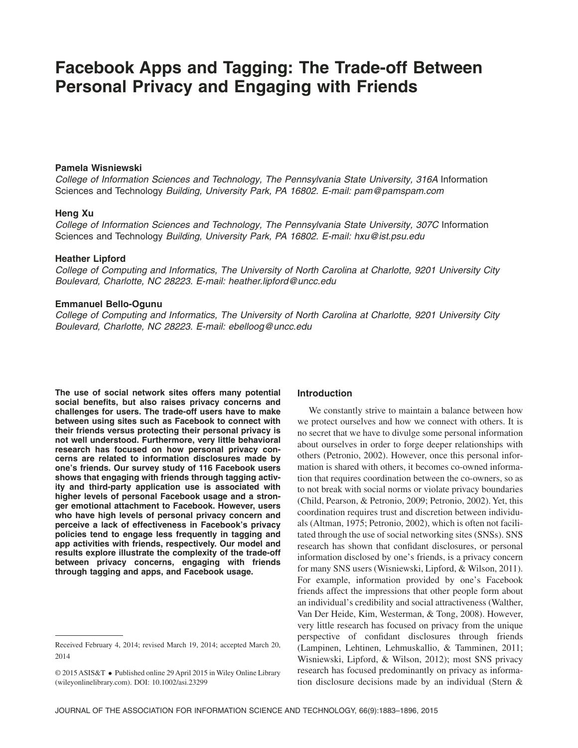# **Facebook Apps and Tagging: The Trade-off Between Personal Privacy and Engaging with Friends**

# **Pamela Wisniewski**

*College of Information Sciences and Technology, The Pennsylvania State University, 316A* Information Sciences and Technology *Building, University Park, PA 16802. E-mail: [pam@pamspam.com](mailto:pam@pamspam.com)*

# **Heng Xu**

*College of Information Sciences and Technology, The Pennsylvania State University, 307C* Information Sciences and Technology *Building, University Park, PA 16802. E-mail: [hxu@ist.psu.edu](mailto:hxu@ist.psu.edu)*

# **Heather Lipford**

*College of Computing and Informatics, The University of North Carolina at Charlotte, 9201 University City Boulevard, Charlotte, NC 28223. E-mail: [heather.lipford@uncc.edu](mailto:heather.lipford@uncc.edu)*

# **Emmanuel Bello-Ogunu**

*College of Computing and Informatics, The University of North Carolina at Charlotte, 9201 University City Boulevard, Charlotte, NC 28223. E-mail: [ebelloog@uncc.edu](mailto:ebelloog@uncc.edu)*

**The use of social network sites offers many potential social benefits, but also raises privacy concerns and challenges for users. The trade-off users have to make between using sites such as Facebook to connect with their friends versus protecting their personal privacy is not well understood. Furthermore, very little behavioral research has focused on how personal privacy concerns are related to information disclosures made by one's friends. Our survey study of 116 Facebook users shows that engaging with friends through tagging activity and third-party application use is associated with higher levels of personal Facebook usage and a stronger emotional attachment to Facebook. However, users who have high levels of personal privacy concern and perceive a lack of effectiveness in Facebook's privacy policies tend to engage less frequently in tagging and app activities with friends, respectively. Our model and results explore illustrate the complexity of the trade-off between privacy concerns, engaging with friends through tagging and apps, and Facebook usage.**

# **Introduction**

We constantly strive to maintain a balance between how we protect ourselves and how we connect with others. It is no secret that we have to divulge some personal information about ourselves in order to forge deeper relationships with others (Petronio, 2002). However, once this personal information is shared with others, it becomes co-owned information that requires coordination between the co-owners, so as to not break with social norms or violate privacy boundaries (Child, Pearson, & Petronio, 2009; Petronio, 2002). Yet, this coordination requires trust and discretion between individuals (Altman, 1975; Petronio, 2002), which is often not facilitated through the use of social networking sites (SNSs). SNS research has shown that confidant disclosures, or personal information disclosed by one's friends, is a privacy concern for many SNS users (Wisniewski, Lipford, & Wilson, 2011). For example, information provided by one's Facebook friends affect the impressions that other people form about an individual's credibility and social attractiveness (Walther, Van Der Heide, Kim, Westerman, & Tong, 2008). However, very little research has focused on privacy from the unique perspective of confidant disclosures through friends (Lampinen, Lehtinen, Lehmuskallio, & Tamminen, 2011; Wisniewski, Lipford, & Wilson, 2012); most SNS privacy research has focused predominantly on privacy as information disclosure decisions made by an individual (Stern &

Received February 4, 2014; revised March 19, 2014; accepted March 20, 2014

<sup>© 2015</sup> ASIS&T • Published online 29 April 2015 in Wiley Online Library [\(wileyonlinelibrary.com\)](http://wileyonlinelibrary.com). DOI: 10.1002/asi.23299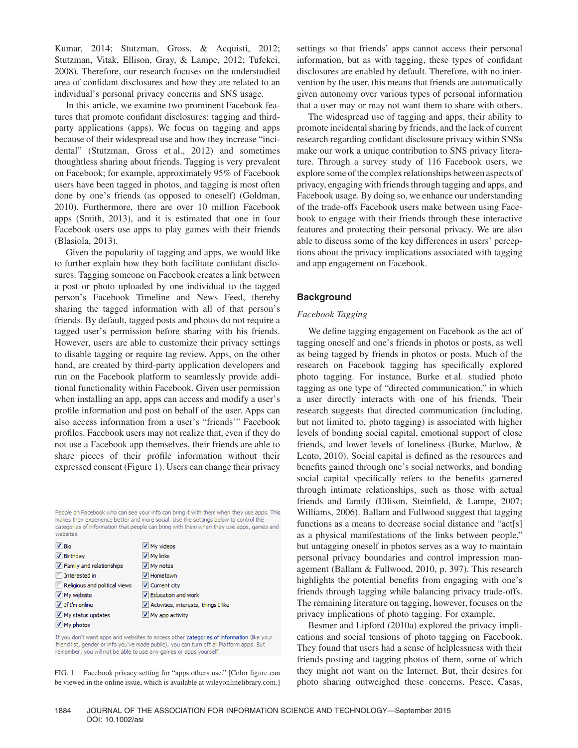Kumar, 2014; Stutzman, Gross, & Acquisti, 2012; Stutzman, Vitak, Ellison, Gray, & Lampe, 2012; Tufekci, 2008). Therefore, our research focuses on the understudied area of confidant disclosures and how they are related to an individual's personal privacy concerns and SNS usage.

In this article, we examine two prominent Facebook features that promote confidant disclosures: tagging and thirdparty applications (apps). We focus on tagging and apps because of their widespread use and how they increase "incidental" (Stutzman, Gross et al., 2012) and sometimes thoughtless sharing about friends. Tagging is very prevalent on Facebook; for example, approximately 95% of Facebook users have been tagged in photos, and tagging is most often done by one's friends (as opposed to oneself) (Goldman, 2010). Furthermore, there are over 10 million Facebook apps (Smith, 2013), and it is estimated that one in four Facebook users use apps to play games with their friends (Blasiola, 2013).

Given the popularity of tagging and apps, we would like to further explain how they both facilitate confidant disclosures. Tagging someone on Facebook creates a link between a post or photo uploaded by one individual to the tagged person's Facebook Timeline and News Feed, thereby sharing the tagged information with all of that person's friends. By default, tagged posts and photos do not require a tagged user's permission before sharing with his friends. However, users are able to customize their privacy settings to disable tagging or require tag review. Apps, on the other hand, are created by third-party application developers and run on the Facebook platform to seamlessly provide additional functionality within Facebook. Given user permission when installing an app, apps can access and modify a user's profile information and post on behalf of the user. Apps can also access information from a user's "friends'" Facebook profiles. Facebook users may not realize that, even if they do not use a Facebook app themselves, their friends are able to share pieces of their profile information without their expressed consent (Figure 1). Users can change their privacy

People on Facebook who can see your info can bring it with them when they use apps. This makes their experience better and more social. Use the settings below to control the categories of information that people can bring with them when they use apps, games and websites.

| $\sqrt{B}$ Bio                | My videos                              |
|-------------------------------|----------------------------------------|
| $\nabla$ Birthday             | V My links                             |
| T Family and relationships    | V My notes                             |
| Interested in                 | V Hometown                             |
| Religious and political views | V Current city                         |
| V My website                  | V Education and work                   |
| $\triangledown$ If I'm online | V Activities, interests, things I like |
| $\vee$ My status updates      | V My app activity                      |
| My photos                     |                                        |

If you don't want apps and websites to access other categories of information (like your friend list, gender or info you've made public), you can turn off all Platform apps. But remember, you will not be able to use any games or apps yourself.

FIG. 1. Facebook privacy setting for "apps others use." [Color figure can be viewed in the online issue, which is available at wileyonlinelibrary.com.] settings so that friends' apps cannot access their personal information, but as with tagging, these types of confidant disclosures are enabled by default. Therefore, with no intervention by the user, this means that friends are automatically given autonomy over various types of personal information that a user may or may not want them to share with others.

The widespread use of tagging and apps, their ability to promote incidental sharing by friends, and the lack of current research regarding confidant disclosure privacy within SNSs make our work a unique contribution to SNS privacy literature. Through a survey study of 116 Facebook users, we explore some of the complex relationships between aspects of privacy, engaging with friends through tagging and apps, and Facebook usage. By doing so, we enhance our understanding of the trade-offs Facebook users make between using Facebook to engage with their friends through these interactive features and protecting their personal privacy. We are also able to discuss some of the key differences in users' perceptions about the privacy implications associated with tagging and app engagement on Facebook.

# **Background**

# *Facebook Tagging*

We define tagging engagement on Facebook as the act of tagging oneself and one's friends in photos or posts, as well as being tagged by friends in photos or posts. Much of the research on Facebook tagging has specifically explored photo tagging. For instance, Burke et al. studied photo tagging as one type of "directed communication," in which a user directly interacts with one of his friends. Their research suggests that directed communication (including, but not limited to, photo tagging) is associated with higher levels of bonding social capital, emotional support of close friends, and lower levels of loneliness (Burke, Marlow, & Lento, 2010). Social capital is defined as the resources and benefits gained through one's social networks, and bonding social capital specifically refers to the benefits garnered through intimate relationships, such as those with actual friends and family (Ellison, Steinfield, & Lampe, 2007; Williams, 2006). Ballam and Fullwood suggest that tagging functions as a means to decrease social distance and "act[s] as a physical manifestations of the links between people," but untagging oneself in photos serves as a way to maintain personal privacy boundaries and control impression management (Ballam & Fullwood, 2010, p. 397). This research highlights the potential benefits from engaging with one's friends through tagging while balancing privacy trade-offs. The remaining literature on tagging, however, focuses on the privacy implications of photo tagging. For example,

Besmer and Lipford (2010a) explored the privacy implications and social tensions of photo tagging on Facebook. They found that users had a sense of helplessness with their friends posting and tagging photos of them, some of which they might not want on the Internet. But, their desires for photo sharing outweighed these concerns. Pesce, Casas,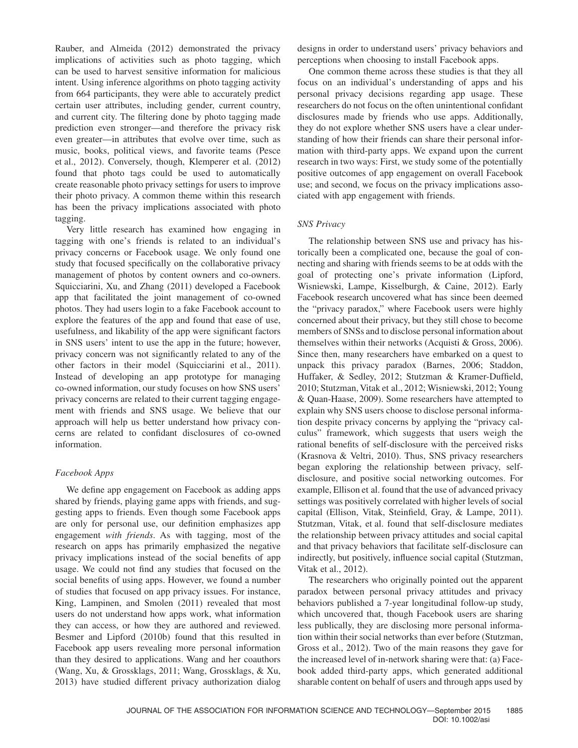Rauber, and Almeida (2012) demonstrated the privacy implications of activities such as photo tagging, which can be used to harvest sensitive information for malicious intent. Using inference algorithms on photo tagging activity from 664 participants, they were able to accurately predict certain user attributes, including gender, current country, and current city. The filtering done by photo tagging made prediction even stronger—and therefore the privacy risk even greater—in attributes that evolve over time, such as music, books, political views, and favorite teams (Pesce et al., 2012). Conversely, though, Klemperer et al. (2012) found that photo tags could be used to automatically create reasonable photo privacy settings for users to improve their photo privacy. A common theme within this research has been the privacy implications associated with photo tagging.

Very little research has examined how engaging in tagging with one's friends is related to an individual's privacy concerns or Facebook usage. We only found one study that focused specifically on the collaborative privacy management of photos by content owners and co-owners. Squicciarini, Xu, and Zhang (2011) developed a Facebook app that facilitated the joint management of co-owned photos. They had users login to a fake Facebook account to explore the features of the app and found that ease of use, usefulness, and likability of the app were significant factors in SNS users' intent to use the app in the future; however, privacy concern was not significantly related to any of the other factors in their model (Squicciarini et al., 2011). Instead of developing an app prototype for managing co-owned information, our study focuses on how SNS users' privacy concerns are related to their current tagging engagement with friends and SNS usage. We believe that our approach will help us better understand how privacy concerns are related to confidant disclosures of co-owned information.

# *Facebook Apps*

We define app engagement on Facebook as adding apps shared by friends, playing game apps with friends, and suggesting apps to friends. Even though some Facebook apps are only for personal use, our definition emphasizes app engagement *with friends*. As with tagging, most of the research on apps has primarily emphasized the negative privacy implications instead of the social benefits of app usage. We could not find any studies that focused on the social benefits of using apps. However, we found a number of studies that focused on app privacy issues. For instance, King, Lampinen, and Smolen (2011) revealed that most users do not understand how apps work, what information they can access, or how they are authored and reviewed. Besmer and Lipford (2010b) found that this resulted in Facebook app users revealing more personal information than they desired to applications. Wang and her coauthors (Wang, Xu, & Grossklags, 2011; Wang, Grossklags, & Xu, 2013) have studied different privacy authorization dialog

designs in order to understand users' privacy behaviors and perceptions when choosing to install Facebook apps.

One common theme across these studies is that they all focus on an individual's understanding of apps and his personal privacy decisions regarding app usage. These researchers do not focus on the often unintentional confidant disclosures made by friends who use apps. Additionally, they do not explore whether SNS users have a clear understanding of how their friends can share their personal information with third-party apps. We expand upon the current research in two ways: First, we study some of the potentially positive outcomes of app engagement on overall Facebook use; and second, we focus on the privacy implications associated with app engagement with friends.

# *SNS Privacy*

The relationship between SNS use and privacy has historically been a complicated one, because the goal of connecting and sharing with friends seems to be at odds with the goal of protecting one's private information (Lipford, Wisniewski, Lampe, Kisselburgh, & Caine, 2012). Early Facebook research uncovered what has since been deemed the "privacy paradox," where Facebook users were highly concerned about their privacy, but they still chose to become members of SNSs and to disclose personal information about themselves within their networks (Acquisti & Gross, 2006). Since then, many researchers have embarked on a quest to unpack this privacy paradox (Barnes, 2006; Staddon, Huffaker, & Sedley, 2012; Stutzman & Kramer-Duffield, 2010; Stutzman, Vitak et al., 2012; Wisniewski, 2012; Young & Quan-Haase, 2009). Some researchers have attempted to explain why SNS users choose to disclose personal information despite privacy concerns by applying the "privacy calculus" framework, which suggests that users weigh the rational benefits of self-disclosure with the perceived risks (Krasnova & Veltri, 2010). Thus, SNS privacy researchers began exploring the relationship between privacy, selfdisclosure, and positive social networking outcomes. For example, Ellison et al. found that the use of advanced privacy settings was positively correlated with higher levels of social capital (Ellison, Vitak, Steinfield, Gray, & Lampe, 2011). Stutzman, Vitak, et al. found that self-disclosure mediates the relationship between privacy attitudes and social capital and that privacy behaviors that facilitate self-disclosure can indirectly, but positively, influence social capital (Stutzman, Vitak et al., 2012).

The researchers who originally pointed out the apparent paradox between personal privacy attitudes and privacy behaviors published a 7-year longitudinal follow-up study, which uncovered that, though Facebook users are sharing less publically, they are disclosing more personal information within their social networks than ever before (Stutzman, Gross et al., 2012). Two of the main reasons they gave for the increased level of in-network sharing were that: (a) Facebook added third-party apps, which generated additional sharable content on behalf of users and through apps used by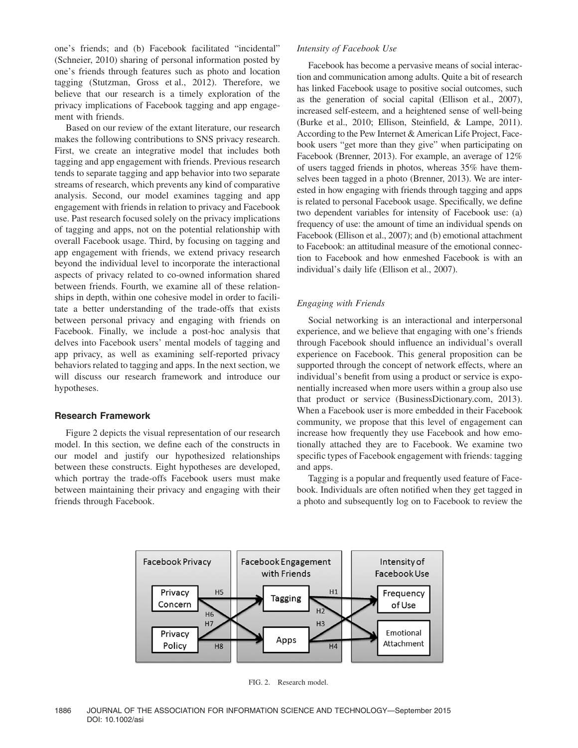one's friends; and (b) Facebook facilitated "incidental" (Schneier, 2010) sharing of personal information posted by one's friends through features such as photo and location tagging (Stutzman, Gross et al., 2012). Therefore, we believe that our research is a timely exploration of the privacy implications of Facebook tagging and app engagement with friends.

Based on our review of the extant literature, our research makes the following contributions to SNS privacy research. First, we create an integrative model that includes both tagging and app engagement with friends. Previous research tends to separate tagging and app behavior into two separate streams of research, which prevents any kind of comparative analysis. Second, our model examines tagging and app engagement with friends in relation to privacy and Facebook use. Past research focused solely on the privacy implications of tagging and apps, not on the potential relationship with overall Facebook usage. Third, by focusing on tagging and app engagement with friends, we extend privacy research beyond the individual level to incorporate the interactional aspects of privacy related to co-owned information shared between friends. Fourth, we examine all of these relationships in depth, within one cohesive model in order to facilitate a better understanding of the trade-offs that exists between personal privacy and engaging with friends on Facebook. Finally, we include a post-hoc analysis that delves into Facebook users' mental models of tagging and app privacy, as well as examining self-reported privacy behaviors related to tagging and apps. In the next section, we will discuss our research framework and introduce our hypotheses.

# **Research Framework**

Figure 2 depicts the visual representation of our research model. In this section, we define each of the constructs in our model and justify our hypothesized relationships between these constructs. Eight hypotheses are developed, which portray the trade-offs Facebook users must make between maintaining their privacy and engaging with their friends through Facebook.

#### *Intensity of Facebook Use*

Facebook has become a pervasive means of social interaction and communication among adults. Quite a bit of research has linked Facebook usage to positive social outcomes, such as the generation of social capital (Ellison et al., 2007), increased self-esteem, and a heightened sense of well-being (Burke et al., 2010; Ellison, Steinfield, & Lampe, 2011). According to the Pew Internet & American Life Project, Facebook users "get more than they give" when participating on Facebook (Brenner, 2013). For example, an average of 12% of users tagged friends in photos, whereas 35% have themselves been tagged in a photo (Brenner, 2013). We are interested in how engaging with friends through tagging and apps is related to personal Facebook usage. Specifically, we define two dependent variables for intensity of Facebook use: (a) frequency of use: the amount of time an individual spends on Facebook (Ellison et al., 2007); and (b) emotional attachment to Facebook: an attitudinal measure of the emotional connection to Facebook and how enmeshed Facebook is with an individual's daily life (Ellison et al., 2007).

# *Engaging with Friends*

Social networking is an interactional and interpersonal experience, and we believe that engaging with one's friends through Facebook should influence an individual's overall experience on Facebook. This general proposition can be supported through the concept of network effects, where an individual's benefit from using a product or service is exponentially increased when more users within a group also use that product or service (BusinessDictionary.com, 2013). When a Facebook user is more embedded in their Facebook community, we propose that this level of engagement can increase how frequently they use Facebook and how emotionally attached they are to Facebook. We examine two specific types of Facebook engagement with friends: tagging and apps.

Tagging is a popular and frequently used feature of Facebook. Individuals are often notified when they get tagged in a photo and subsequently log on to Facebook to review the



FIG. 2. Research model.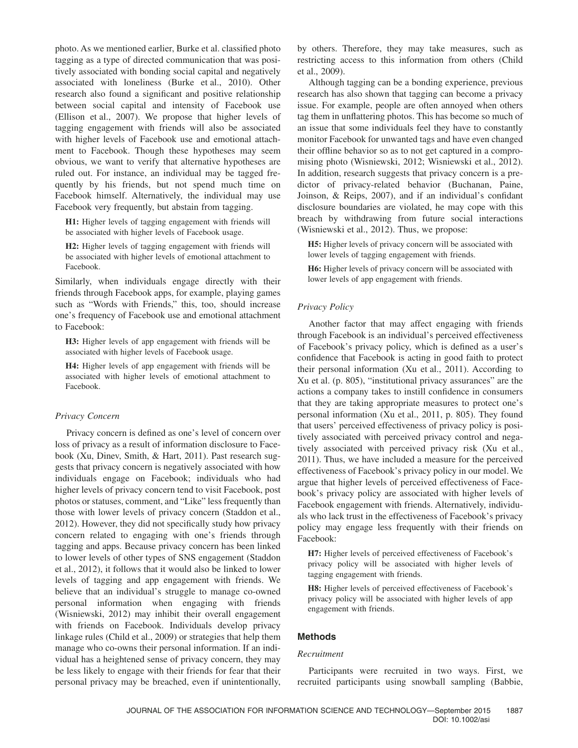photo. As we mentioned earlier, Burke et al. classified photo tagging as a type of directed communication that was positively associated with bonding social capital and negatively associated with loneliness (Burke et al., 2010). Other research also found a significant and positive relationship between social capital and intensity of Facebook use (Ellison et al., 2007). We propose that higher levels of tagging engagement with friends will also be associated with higher levels of Facebook use and emotional attachment to Facebook. Though these hypotheses may seem obvious, we want to verify that alternative hypotheses are ruled out. For instance, an individual may be tagged frequently by his friends, but not spend much time on Facebook himself. Alternatively, the individual may use Facebook very frequently, but abstain from tagging.

**H1:** Higher levels of tagging engagement with friends will be associated with higher levels of Facebook usage.

**H2:** Higher levels of tagging engagement with friends will be associated with higher levels of emotional attachment to Facebook.

Similarly, when individuals engage directly with their friends through Facebook apps, for example, playing games such as "Words with Friends," this, too, should increase one's frequency of Facebook use and emotional attachment to Facebook:

**H3:** Higher levels of app engagement with friends will be associated with higher levels of Facebook usage.

**H4:** Higher levels of app engagement with friends will be associated with higher levels of emotional attachment to Facebook.

# *Privacy Concern*

Privacy concern is defined as one's level of concern over loss of privacy as a result of information disclosure to Facebook (Xu, Dinev, Smith, & Hart, 2011). Past research suggests that privacy concern is negatively associated with how individuals engage on Facebook; individuals who had higher levels of privacy concern tend to visit Facebook, post photos or statuses, comment, and "Like" less frequently than those with lower levels of privacy concern (Staddon et al., 2012). However, they did not specifically study how privacy concern related to engaging with one's friends through tagging and apps. Because privacy concern has been linked to lower levels of other types of SNS engagement (Staddon et al., 2012), it follows that it would also be linked to lower levels of tagging and app engagement with friends. We believe that an individual's struggle to manage co-owned personal information when engaging with friends (Wisniewski, 2012) may inhibit their overall engagement with friends on Facebook. Individuals develop privacy linkage rules (Child et al., 2009) or strategies that help them manage who co-owns their personal information. If an individual has a heightened sense of privacy concern, they may be less likely to engage with their friends for fear that their personal privacy may be breached, even if unintentionally,

by others. Therefore, they may take measures, such as restricting access to this information from others (Child et al., 2009).

Although tagging can be a bonding experience, previous research has also shown that tagging can become a privacy issue. For example, people are often annoyed when others tag them in unflattering photos. This has become so much of an issue that some individuals feel they have to constantly monitor Facebook for unwanted tags and have even changed their offline behavior so as to not get captured in a compromising photo (Wisniewski, 2012; Wisniewski et al., 2012). In addition, research suggests that privacy concern is a predictor of privacy-related behavior (Buchanan, Paine, Joinson, & Reips, 2007), and if an individual's confidant disclosure boundaries are violated, he may cope with this breach by withdrawing from future social interactions (Wisniewski et al., 2012). Thus, we propose:

**H5:** Higher levels of privacy concern will be associated with lower levels of tagging engagement with friends.

**H6:** Higher levels of privacy concern will be associated with lower levels of app engagement with friends.

# *Privacy Policy*

Another factor that may affect engaging with friends through Facebook is an individual's perceived effectiveness of Facebook's privacy policy, which is defined as a user's confidence that Facebook is acting in good faith to protect their personal information (Xu et al., 2011). According to Xu et al. (p. 805), "institutional privacy assurances" are the actions a company takes to instill confidence in consumers that they are taking appropriate measures to protect one's personal information (Xu et al., 2011, p. 805). They found that users' perceived effectiveness of privacy policy is positively associated with perceived privacy control and negatively associated with perceived privacy risk (Xu et al., 2011). Thus, we have included a measure for the perceived effectiveness of Facebook's privacy policy in our model. We argue that higher levels of perceived effectiveness of Facebook's privacy policy are associated with higher levels of Facebook engagement with friends. Alternatively, individuals who lack trust in the effectiveness of Facebook's privacy policy may engage less frequently with their friends on Facebook:

**H7:** Higher levels of perceived effectiveness of Facebook's privacy policy will be associated with higher levels of tagging engagement with friends.

**H8:** Higher levels of perceived effectiveness of Facebook's privacy policy will be associated with higher levels of app engagement with friends.

# **Methods**

#### *Recruitment*

Participants were recruited in two ways. First, we recruited participants using snowball sampling (Babbie,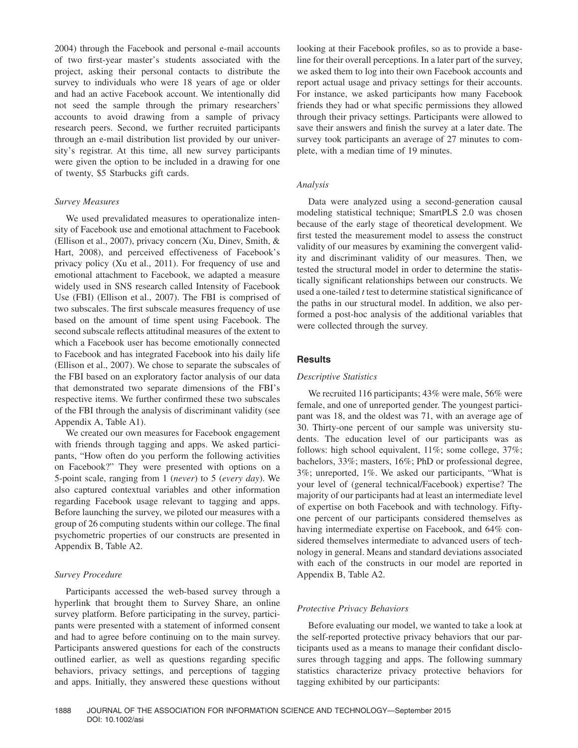2004) through the Facebook and personal e-mail accounts of two first-year master's students associated with the project, asking their personal contacts to distribute the survey to individuals who were 18 years of age or older and had an active Facebook account. We intentionally did not seed the sample through the primary researchers' accounts to avoid drawing from a sample of privacy research peers. Second, we further recruited participants through an e-mail distribution list provided by our university's registrar. At this time, all new survey participants were given the option to be included in a drawing for one of twenty, \$5 Starbucks gift cards.

# *Survey Measures*

We used prevalidated measures to operationalize intensity of Facebook use and emotional attachment to Facebook (Ellison et al., 2007), privacy concern (Xu, Dinev, Smith, & Hart, 2008), and perceived effectiveness of Facebook's privacy policy (Xu et al., 2011). For frequency of use and emotional attachment to Facebook, we adapted a measure widely used in SNS research called Intensity of Facebook Use (FBI) (Ellison et al., 2007). The FBI is comprised of two subscales. The first subscale measures frequency of use based on the amount of time spent using Facebook. The second subscale reflects attitudinal measures of the extent to which a Facebook user has become emotionally connected to Facebook and has integrated Facebook into his daily life (Ellison et al., 2007). We chose to separate the subscales of the FBI based on an exploratory factor analysis of our data that demonstrated two separate dimensions of the FBI's respective items. We further confirmed these two subscales of the FBI through the analysis of discriminant validity (see Appendix A, Table A1).

We created our own measures for Facebook engagement with friends through tagging and apps. We asked participants, "How often do you perform the following activities on Facebook?" They were presented with options on a 5-point scale, ranging from 1 (*never*) to 5 (*every day*). We also captured contextual variables and other information regarding Facebook usage relevant to tagging and apps. Before launching the survey, we piloted our measures with a group of 26 computing students within our college. The final psychometric properties of our constructs are presented in Appendix B, Table A2.

# *Survey Procedure*

Participants accessed the web-based survey through a hyperlink that brought them to Survey Share, an online survey platform. Before participating in the survey, participants were presented with a statement of informed consent and had to agree before continuing on to the main survey. Participants answered questions for each of the constructs outlined earlier, as well as questions regarding specific behaviors, privacy settings, and perceptions of tagging and apps. Initially, they answered these questions without looking at their Facebook profiles, so as to provide a baseline for their overall perceptions. In a later part of the survey, we asked them to log into their own Facebook accounts and report actual usage and privacy settings for their accounts. For instance, we asked participants how many Facebook friends they had or what specific permissions they allowed through their privacy settings. Participants were allowed to save their answers and finish the survey at a later date. The survey took participants an average of 27 minutes to complete, with a median time of 19 minutes.

#### *Analysis*

Data were analyzed using a second-generation causal modeling statistical technique; SmartPLS 2.0 was chosen because of the early stage of theoretical development. We first tested the measurement model to assess the construct validity of our measures by examining the convergent validity and discriminant validity of our measures. Then, we tested the structural model in order to determine the statistically significant relationships between our constructs. We used a one-tailed *t* test to determine statistical significance of the paths in our structural model. In addition, we also performed a post-hoc analysis of the additional variables that were collected through the survey.

#### **Results**

#### *Descriptive Statistics*

We recruited 116 participants; 43% were male, 56% were female, and one of unreported gender. The youngest participant was 18, and the oldest was 71, with an average age of 30. Thirty-one percent of our sample was university students. The education level of our participants was as follows: high school equivalent, 11%; some college, 37%; bachelors, 33%; masters, 16%; PhD or professional degree, 3%; unreported, 1%. We asked our participants, "What is your level of (general technical/Facebook) expertise? The majority of our participants had at least an intermediate level of expertise on both Facebook and with technology. Fiftyone percent of our participants considered themselves as having intermediate expertise on Facebook, and 64% considered themselves intermediate to advanced users of technology in general. Means and standard deviations associated with each of the constructs in our model are reported in Appendix B, Table A2.

# *Protective Privacy Behaviors*

Before evaluating our model, we wanted to take a look at the self-reported protective privacy behaviors that our participants used as a means to manage their confidant disclosures through tagging and apps. The following summary statistics characterize privacy protective behaviors for tagging exhibited by our participants: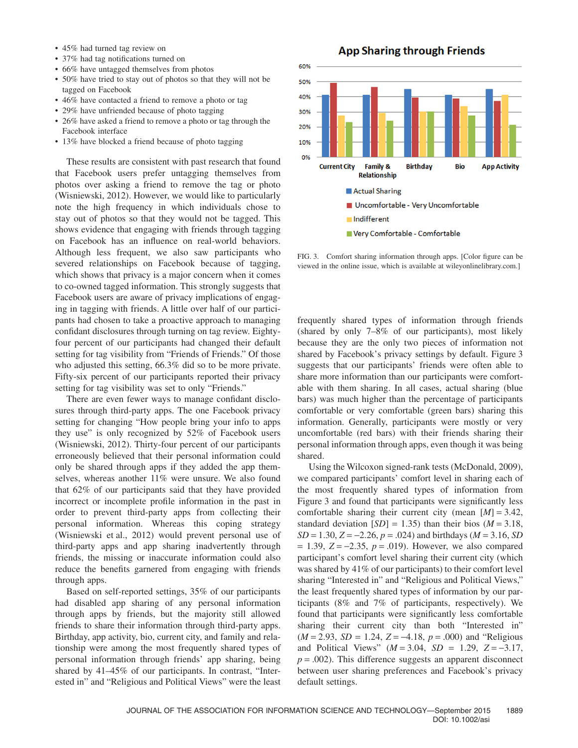- 45% had turned tag review on
- 37% had tag notifications turned on
- 66% have untagged themselves from photos
- 50% have tried to stay out of photos so that they will not be tagged on Facebook
- 46% have contacted a friend to remove a photo or tag
- 29% have unfriended because of photo tagging
- 26% have asked a friend to remove a photo or tag through the Facebook interface
- 13% have blocked a friend because of photo tagging

These results are consistent with past research that found that Facebook users prefer untagging themselves from photos over asking a friend to remove the tag or photo (Wisniewski, 2012). However, we would like to particularly note the high frequency in which individuals chose to stay out of photos so that they would not be tagged. This shows evidence that engaging with friends through tagging on Facebook has an influence on real-world behaviors. Although less frequent, we also saw participants who severed relationships on Facebook because of tagging, which shows that privacy is a major concern when it comes to co-owned tagged information. This strongly suggests that Facebook users are aware of privacy implications of engaging in tagging with friends. A little over half of our participants had chosen to take a proactive approach to managing confidant disclosures through turning on tag review. Eightyfour percent of our participants had changed their default setting for tag visibility from "Friends of Friends." Of those who adjusted this setting, 66.3% did so to be more private. Fifty-six percent of our participants reported their privacy setting for tag visibility was set to only "Friends."

There are even fewer ways to manage confidant disclosures through third-party apps. The one Facebook privacy setting for changing "How people bring your info to apps they use" is only recognized by 52% of Facebook users (Wisniewski, 2012). Thirty-four percent of our participants erroneously believed that their personal information could only be shared through apps if they added the app themselves, whereas another 11% were unsure. We also found that 62% of our participants said that they have provided incorrect or incomplete profile information in the past in order to prevent third-party apps from collecting their personal information. Whereas this coping strategy (Wisniewski et al., 2012) would prevent personal use of third-party apps and app sharing inadvertently through friends, the missing or inaccurate information could also reduce the benefits garnered from engaging with friends through apps.

Based on self-reported settings, 35% of our participants had disabled app sharing of any personal information through apps by friends, but the majority still allowed friends to share their information through third-party apps. Birthday, app activity, bio, current city, and family and relationship were among the most frequently shared types of personal information through friends' app sharing, being shared by 41–45% of our participants. In contrast, "Interested in" and "Religious and Political Views" were the least

60% 50% 40% 30% 20% 10% 0% Family & **Birthday Bio Current City App Activity Relationship Actual Sharing** Uncomfortable - Very Uncomfortable Indifferent

FIG. 3. Comfort sharing information through apps. [Color figure can be viewed in the online issue, which is available at wileyonlinelibrary.com.]

Very Comfortable - Comfortable

frequently shared types of information through friends (shared by only 7–8% of our participants), most likely because they are the only two pieces of information not shared by Facebook's privacy settings by default. Figure 3 suggests that our participants' friends were often able to share more information than our participants were comfortable with them sharing. In all cases, actual sharing (blue bars) was much higher than the percentage of participants comfortable or very comfortable (green bars) sharing this information. Generally, participants were mostly or very uncomfortable (red bars) with their friends sharing their personal information through apps, even though it was being shared.

Using the Wilcoxon signed-rank tests (McDonald, 2009), we compared participants' comfort level in sharing each of the most frequently shared types of information from Figure 3 and found that participants were significantly less comfortable sharing their current city (mean [*M*] = 3.42, standard deviation  $[SD] = 1.35$ ) than their bios ( $M = 3.18$ , *SD* = 1.30, *Z* = −2.26, *p* = .024) and birthdays (*M* = 3.16, *SD* = 1.39, *Z* = −2.35, *p* = .019). However, we also compared participant's comfort level sharing their current city (which was shared by 41% of our participants) to their comfort level sharing "Interested in" and "Religious and Political Views," the least frequently shared types of information by our participants (8% and 7% of participants, respectively). We found that participants were significantly less comfortable sharing their current city than both "Interested in" (*M* = 2.93, *SD* = 1.24, *Z* = −4.18, *p* = .000) and "Religious and Political Views" (*M* = 3.04, *SD* = 1.29, *Z* = −3.17,  $p = .002$ ). This difference suggests an apparent disconnect between user sharing preferences and Facebook's privacy default settings.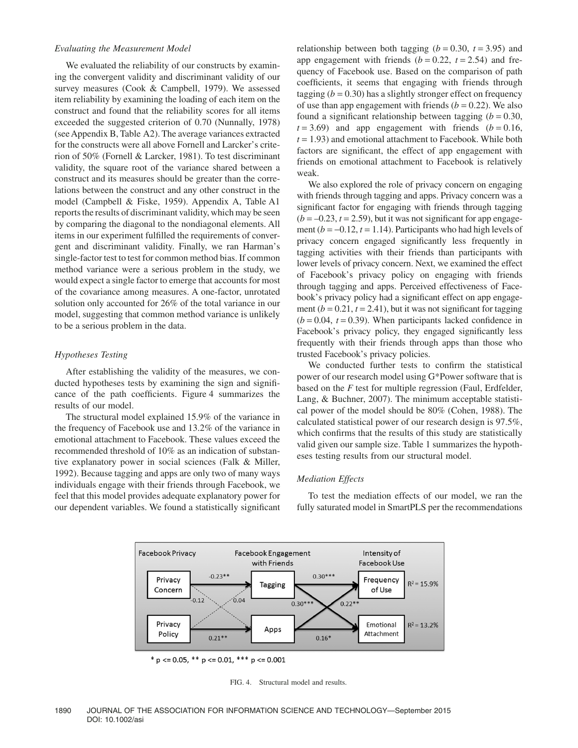#### *Evaluating the Measurement Model*

We evaluated the reliability of our constructs by examining the convergent validity and discriminant validity of our survey measures (Cook & Campbell, 1979). We assessed item reliability by examining the loading of each item on the construct and found that the reliability scores for all items exceeded the suggested criterion of 0.70 (Nunnally, 1978) (see Appendix B, Table A2). The average variances extracted for the constructs were all above Fornell and Larcker's criterion of 50% (Fornell & Larcker, 1981). To test discriminant validity, the square root of the variance shared between a construct and its measures should be greater than the correlations between the construct and any other construct in the model (Campbell & Fiske, 1959). Appendix A, Table A1 reports the results of discriminant validity, which may be seen by comparing the diagonal to the nondiagonal elements. All items in our experiment fulfilled the requirements of convergent and discriminant validity. Finally, we ran Harman's single-factor test to test for common method bias. If common method variance were a serious problem in the study, we would expect a single factor to emerge that accounts for most of the covariance among measures. A one-factor, unrotated solution only accounted for 26% of the total variance in our model, suggesting that common method variance is unlikely to be a serious problem in the data.

# *Hypotheses Testing*

After establishing the validity of the measures, we conducted hypotheses tests by examining the sign and significance of the path coefficients. Figure 4 summarizes the results of our model.

The structural model explained 15.9% of the variance in the frequency of Facebook use and 13.2% of the variance in emotional attachment to Facebook. These values exceed the recommended threshold of 10% as an indication of substantive explanatory power in social sciences (Falk & Miller, 1992). Because tagging and apps are only two of many ways individuals engage with their friends through Facebook, we feel that this model provides adequate explanatory power for our dependent variables. We found a statistically significant relationship between both tagging  $(b = 0.30, t = 3.95)$  and app engagement with friends  $(b = 0.22, t = 2.54)$  and frequency of Facebook use. Based on the comparison of path coefficients, it seems that engaging with friends through tagging  $(b = 0.30)$  has a slightly stronger effect on frequency of use than app engagement with friends  $(b = 0.22)$ . We also found a significant relationship between tagging  $(b = 0.30,$  $t = 3.69$ ) and app engagement with friends  $(b = 0.16,$  $t = 1.93$ ) and emotional attachment to Facebook. While both factors are significant, the effect of app engagement with friends on emotional attachment to Facebook is relatively weak.

We also explored the role of privacy concern on engaging with friends through tagging and apps. Privacy concern was a significant factor for engaging with friends through tagging  $(b = -0.23, t = 2.59)$ , but it was not significant for app engagement ( $b = -0.12$ ,  $t = 1.14$ ). Participants who had high levels of privacy concern engaged significantly less frequently in tagging activities with their friends than participants with lower levels of privacy concern. Next, we examined the effect of Facebook's privacy policy on engaging with friends through tagging and apps. Perceived effectiveness of Facebook's privacy policy had a significant effect on app engagement  $(b = 0.21, t = 2.41)$ , but it was not significant for tagging  $(b = 0.04, t = 0.39)$ . When participants lacked confidence in Facebook's privacy policy, they engaged significantly less frequently with their friends through apps than those who trusted Facebook's privacy policies.

We conducted further tests to confirm the statistical power of our research model using G\*Power software that is based on the *F* test for multiple regression (Faul, Erdfelder, Lang, & Buchner, 2007). The minimum acceptable statistical power of the model should be 80% (Cohen, 1988). The calculated statistical power of our research design is 97.5%, which confirms that the results of this study are statistically valid given our sample size. Table 1 summarizes the hypotheses testing results from our structural model.

# *Mediation Effects*

To test the mediation effects of our model, we ran the fully saturated model in SmartPLS per the recommendations



FIG. 4. Structural model and results.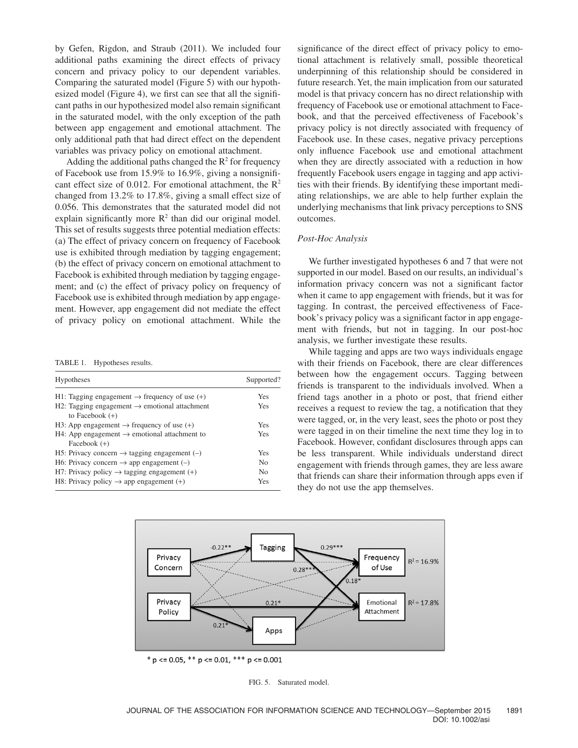by Gefen, Rigdon, and Straub (2011). We included four additional paths examining the direct effects of privacy concern and privacy policy to our dependent variables. Comparing the saturated model (Figure 5) with our hypothesized model (Figure 4), we first can see that all the significant paths in our hypothesized model also remain significant in the saturated model, with the only exception of the path between app engagement and emotional attachment. The only additional path that had direct effect on the dependent variables was privacy policy on emotional attachment.

Adding the additional paths changed the  $R^2$  for frequency of Facebook use from 15.9% to 16.9%, giving a nonsignificant effect size of 0.012. For emotional attachment, the  $\mathbb{R}^2$ changed from 13.2% to 17.8%, giving a small effect size of 0.056. This demonstrates that the saturated model did not explain significantly more  $R^2$  than did our original model. This set of results suggests three potential mediation effects: (a) The effect of privacy concern on frequency of Facebook use is exhibited through mediation by tagging engagement; (b) the effect of privacy concern on emotional attachment to Facebook is exhibited through mediation by tagging engagement; and (c) the effect of privacy policy on frequency of Facebook use is exhibited through mediation by app engagement. However, app engagement did not mediate the effect of privacy policy on emotional attachment. While the

TABLE 1. Hypotheses results.

| Hypotheses                                                                     | Supported?     |  |  |
|--------------------------------------------------------------------------------|----------------|--|--|
| H1: Tagging engagement $\rightarrow$ frequency of use (+)                      | Yes            |  |  |
| H2: Tagging engagement $\rightarrow$ emotional attachment<br>to Facebook $(+)$ | Yes            |  |  |
| H3: App engagement $\rightarrow$ frequency of use (+)                          | Yes            |  |  |
| H4: App engagement $\rightarrow$ emotional attachment to<br>Facebook $(+)$     | Yes            |  |  |
| H5: Privacy concern $\rightarrow$ tagging engagement (-)                       | Yes            |  |  |
| H6: Privacy concern $\rightarrow$ app engagement (-)                           | N <sub>0</sub> |  |  |
| H7: Privacy policy $\rightarrow$ tagging engagement (+)                        | N <sub>0</sub> |  |  |
| H8: Privacy policy $\rightarrow$ app engagement (+)                            | Yes            |  |  |

significance of the direct effect of privacy policy to emotional attachment is relatively small, possible theoretical underpinning of this relationship should be considered in future research. Yet, the main implication from our saturated model is that privacy concern has no direct relationship with frequency of Facebook use or emotional attachment to Facebook, and that the perceived effectiveness of Facebook's privacy policy is not directly associated with frequency of Facebook use. In these cases, negative privacy perceptions only influence Facebook use and emotional attachment when they are directly associated with a reduction in how frequently Facebook users engage in tagging and app activities with their friends. By identifying these important mediating relationships, we are able to help further explain the underlying mechanisms that link privacy perceptions to SNS outcomes.

#### *Post-Hoc Analysis*

We further investigated hypotheses 6 and 7 that were not supported in our model. Based on our results, an individual's information privacy concern was not a significant factor when it came to app engagement with friends, but it was for tagging. In contrast, the perceived effectiveness of Facebook's privacy policy was a significant factor in app engagement with friends, but not in tagging. In our post-hoc analysis, we further investigate these results.

While tagging and apps are two ways individuals engage with their friends on Facebook, there are clear differences between how the engagement occurs. Tagging between friends is transparent to the individuals involved. When a friend tags another in a photo or post, that friend either receives a request to review the tag, a notification that they were tagged, or, in the very least, sees the photo or post they were tagged in on their timeline the next time they log in to Facebook. However, confidant disclosures through apps can be less transparent. While individuals understand direct engagement with friends through games, they are less aware that friends can share their information through apps even if they do not use the app themselves.



\*  $p \le 0.05$ , \*\*  $p \le 0.01$ , \*\*\*  $p \le 0.001$ 

FIG. 5. Saturated model.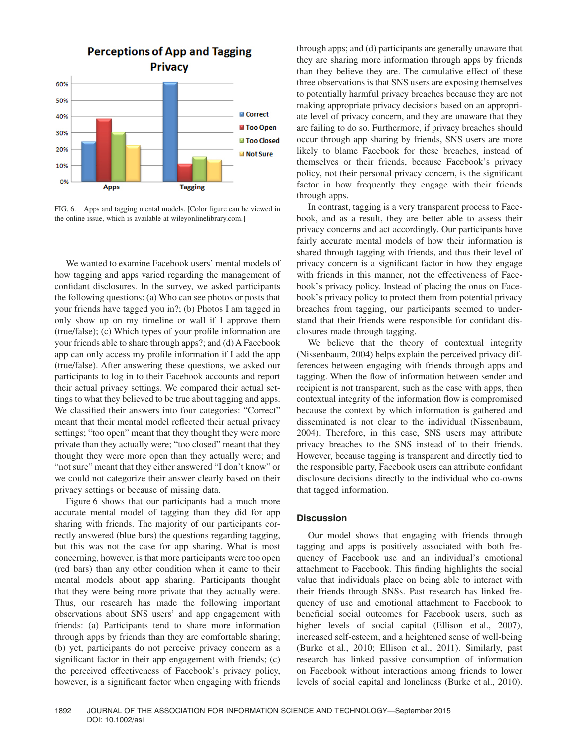

FIG. 6. Apps and tagging mental models. [Color figure can be viewed in the online issue, which is available at wileyonlinelibrary.com.]

We wanted to examine Facebook users' mental models of how tagging and apps varied regarding the management of confidant disclosures. In the survey, we asked participants the following questions: (a) Who can see photos or posts that your friends have tagged you in?; (b) Photos I am tagged in only show up on my timeline or wall if I approve them (true/false); (c) Which types of your profile information are your friends able to share through apps?; and (d) A Facebook app can only access my profile information if I add the app (true/false). After answering these questions, we asked our participants to log in to their Facebook accounts and report their actual privacy settings. We compared their actual settings to what they believed to be true about tagging and apps. We classified their answers into four categories: "Correct" meant that their mental model reflected their actual privacy settings; "too open" meant that they thought they were more private than they actually were; "too closed" meant that they thought they were more open than they actually were; and "not sure" meant that they either answered "I don't know" or we could not categorize their answer clearly based on their privacy settings or because of missing data.

Figure 6 shows that our participants had a much more accurate mental model of tagging than they did for app sharing with friends. The majority of our participants correctly answered (blue bars) the questions regarding tagging, but this was not the case for app sharing. What is most concerning, however, is that more participants were too open (red bars) than any other condition when it came to their mental models about app sharing. Participants thought that they were being more private that they actually were. Thus, our research has made the following important observations about SNS users' and app engagement with friends: (a) Participants tend to share more information through apps by friends than they are comfortable sharing; (b) yet, participants do not perceive privacy concern as a significant factor in their app engagement with friends; (c) the perceived effectiveness of Facebook's privacy policy, however, is a significant factor when engaging with friends through apps; and (d) participants are generally unaware that they are sharing more information through apps by friends than they believe they are. The cumulative effect of these three observations is that SNS users are exposing themselves to potentially harmful privacy breaches because they are not making appropriate privacy decisions based on an appropriate level of privacy concern, and they are unaware that they are failing to do so. Furthermore, if privacy breaches should occur through app sharing by friends, SNS users are more likely to blame Facebook for these breaches, instead of themselves or their friends, because Facebook's privacy policy, not their personal privacy concern, is the significant factor in how frequently they engage with their friends through apps.

In contrast, tagging is a very transparent process to Facebook, and as a result, they are better able to assess their privacy concerns and act accordingly. Our participants have fairly accurate mental models of how their information is shared through tagging with friends, and thus their level of privacy concern is a significant factor in how they engage with friends in this manner, not the effectiveness of Facebook's privacy policy. Instead of placing the onus on Facebook's privacy policy to protect them from potential privacy breaches from tagging, our participants seemed to understand that their friends were responsible for confidant disclosures made through tagging.

We believe that the theory of contextual integrity (Nissenbaum, 2004) helps explain the perceived privacy differences between engaging with friends through apps and tagging. When the flow of information between sender and recipient is not transparent, such as the case with apps, then contextual integrity of the information flow is compromised because the context by which information is gathered and disseminated is not clear to the individual (Nissenbaum, 2004). Therefore, in this case, SNS users may attribute privacy breaches to the SNS instead of to their friends. However, because tagging is transparent and directly tied to the responsible party, Facebook users can attribute confidant disclosure decisions directly to the individual who co-owns that tagged information.

# **Discussion**

Our model shows that engaging with friends through tagging and apps is positively associated with both frequency of Facebook use and an individual's emotional attachment to Facebook. This finding highlights the social value that individuals place on being able to interact with their friends through SNSs. Past research has linked frequency of use and emotional attachment to Facebook to beneficial social outcomes for Facebook users, such as higher levels of social capital (Ellison et al., 2007), increased self-esteem, and a heightened sense of well-being (Burke et al., 2010; Ellison et al., 2011). Similarly, past research has linked passive consumption of information on Facebook without interactions among friends to lower levels of social capital and loneliness (Burke et al., 2010).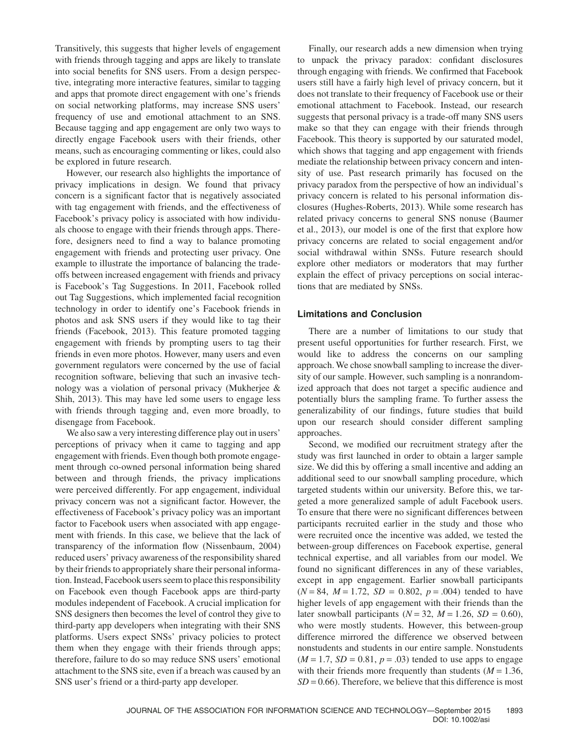Transitively, this suggests that higher levels of engagement with friends through tagging and apps are likely to translate into social benefits for SNS users. From a design perspective, integrating more interactive features, similar to tagging and apps that promote direct engagement with one's friends on social networking platforms, may increase SNS users' frequency of use and emotional attachment to an SNS. Because tagging and app engagement are only two ways to directly engage Facebook users with their friends, other means, such as encouraging commenting or likes, could also be explored in future research.

However, our research also highlights the importance of privacy implications in design. We found that privacy concern is a significant factor that is negatively associated with tag engagement with friends, and the effectiveness of Facebook's privacy policy is associated with how individuals choose to engage with their friends through apps. Therefore, designers need to find a way to balance promoting engagement with friends and protecting user privacy. One example to illustrate the importance of balancing the tradeoffs between increased engagement with friends and privacy is Facebook's Tag Suggestions. In 2011, Facebook rolled out Tag Suggestions, which implemented facial recognition technology in order to identify one's Facebook friends in photos and ask SNS users if they would like to tag their friends (Facebook, 2013). This feature promoted tagging engagement with friends by prompting users to tag their friends in even more photos. However, many users and even government regulators were concerned by the use of facial recognition software, believing that such an invasive technology was a violation of personal privacy (Mukherjee & Shih, 2013). This may have led some users to engage less with friends through tagging and, even more broadly, to disengage from Facebook.

We also saw a very interesting difference play out in users' perceptions of privacy when it came to tagging and app engagement with friends. Even though both promote engagement through co-owned personal information being shared between and through friends, the privacy implications were perceived differently. For app engagement, individual privacy concern was not a significant factor. However, the effectiveness of Facebook's privacy policy was an important factor to Facebook users when associated with app engagement with friends. In this case, we believe that the lack of transparency of the information flow (Nissenbaum, 2004) reduced users' privacy awareness of the responsibility shared by their friends to appropriately share their personal information. Instead, Facebook users seem to place this responsibility on Facebook even though Facebook apps are third-party modules independent of Facebook. A crucial implication for SNS designers then becomes the level of control they give to third-party app developers when integrating with their SNS platforms. Users expect SNSs' privacy policies to protect them when they engage with their friends through apps; therefore, failure to do so may reduce SNS users' emotional attachment to the SNS site, even if a breach was caused by an SNS user's friend or a third-party app developer.

Finally, our research adds a new dimension when trying to unpack the privacy paradox: confidant disclosures through engaging with friends. We confirmed that Facebook users still have a fairly high level of privacy concern, but it does not translate to their frequency of Facebook use or their emotional attachment to Facebook. Instead, our research suggests that personal privacy is a trade-off many SNS users make so that they can engage with their friends through Facebook. This theory is supported by our saturated model, which shows that tagging and app engagement with friends mediate the relationship between privacy concern and intensity of use. Past research primarily has focused on the privacy paradox from the perspective of how an individual's privacy concern is related to his personal information disclosures (Hughes-Roberts, 2013). While some research has related privacy concerns to general SNS nonuse (Baumer et al., 2013), our model is one of the first that explore how privacy concerns are related to social engagement and/or social withdrawal within SNSs. Future research should explore other mediators or moderators that may further explain the effect of privacy perceptions on social interactions that are mediated by SNSs.

# **Limitations and Conclusion**

There are a number of limitations to our study that present useful opportunities for further research. First, we would like to address the concerns on our sampling approach. We chose snowball sampling to increase the diversity of our sample. However, such sampling is a nonrandomized approach that does not target a specific audience and potentially blurs the sampling frame. To further assess the generalizability of our findings, future studies that build upon our research should consider different sampling approaches.

Second, we modified our recruitment strategy after the study was first launched in order to obtain a larger sample size. We did this by offering a small incentive and adding an additional seed to our snowball sampling procedure, which targeted students within our university. Before this, we targeted a more generalized sample of adult Facebook users. To ensure that there were no significant differences between participants recruited earlier in the study and those who were recruited once the incentive was added, we tested the between-group differences on Facebook expertise, general technical expertise, and all variables from our model. We found no significant differences in any of these variables, except in app engagement. Earlier snowball participants  $(N = 84, M = 1.72, SD = 0.802, p = .004)$  tended to have higher levels of app engagement with their friends than the later snowball participants  $(N = 32, M = 1.26, SD = 0.60)$ , who were mostly students. However, this between-group difference mirrored the difference we observed between nonstudents and students in our entire sample. Nonstudents  $(M = 1.7, SD = 0.81, p = .03)$  tended to use apps to engage with their friends more frequently than students  $(M = 1.36)$ ,  $SD = 0.66$ ). Therefore, we believe that this difference is most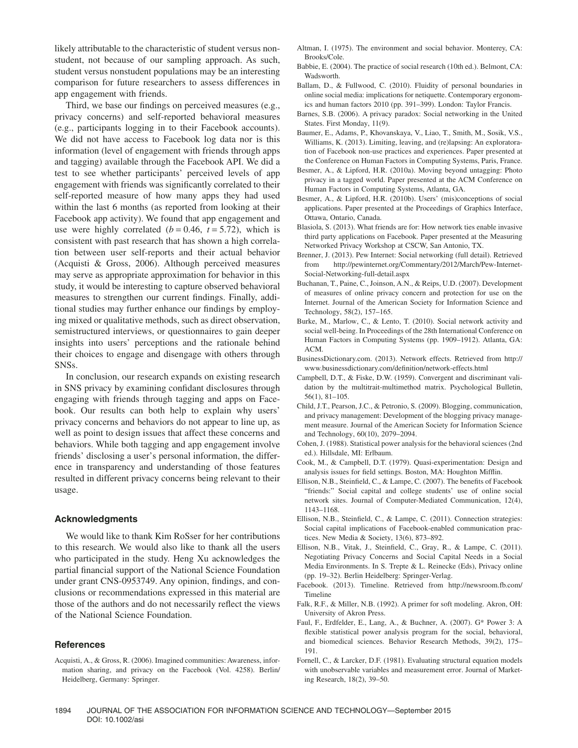likely attributable to the characteristic of student versus nonstudent, not because of our sampling approach. As such, student versus nonstudent populations may be an interesting comparison for future researchers to assess differences in app engagement with friends.

Third, we base our findings on perceived measures (e.g., privacy concerns) and self-reported behavioral measures (e.g., participants logging in to their Facebook accounts). We did not have access to Facebook log data nor is this information (level of engagement with friends through apps and tagging) available through the Facebook API. We did a test to see whether participants' perceived levels of app engagement with friends was significantly correlated to their self-reported measure of how many apps they had used within the last 6 months (as reported from looking at their Facebook app activity). We found that app engagement and use were highly correlated  $(b = 0.46, t = 5.72)$ , which is consistent with past research that has shown a high correlation between user self-reports and their actual behavior (Acquisti & Gross, 2006). Although perceived measures may serve as appropriate approximation for behavior in this study, it would be interesting to capture observed behavioral measures to strengthen our current findings. Finally, additional studies may further enhance our findings by employing mixed or qualitative methods, such as direct observation, semistructured interviews, or questionnaires to gain deeper insights into users' perceptions and the rationale behind their choices to engage and disengage with others through SNSs.

In conclusion, our research expands on existing research in SNS privacy by examining confidant disclosures through engaging with friends through tagging and apps on Facebook. Our results can both help to explain why users' privacy concerns and behaviors do not appear to line up, as well as point to design issues that affect these concerns and behaviors. While both tagging and app engagement involve friends' disclosing a user's personal information, the difference in transparency and understanding of those features resulted in different privacy concerns being relevant to their usage.

# **Acknowledgments**

We would like to thank Kim RoSser for her contributions to this research. We would also like to thank all the users who participated in the study. Heng Xu acknowledges the partial financial support of the National Science Foundation under grant CNS-0953749. Any opinion, findings, and conclusions or recommendations expressed in this material are those of the authors and do not necessarily reflect the views of the National Science Foundation.

## **References**

Acquisti, A., & Gross, R. (2006). Imagined communities: Awareness, information sharing, and privacy on the Facebook (Vol. 4258). Berlin/ Heidelberg, Germany: Springer.

- Altman, I. (1975). The environment and social behavior. Monterey, CA: Brooks/Cole.
- Babbie, E. (2004). The practice of social research (10th ed.). Belmont, CA: Wadsworth.
- Ballam, D., & Fullwood, C. (2010). Fluidity of personal boundaries in online social media: implications for netiquette. Contemporary ergonomics and human factors 2010 (pp. 391–399). London: Taylor Francis.
- Barnes, S.B. (2006). A privacy paradox: Social networking in the United States. First Monday, 11(9).
- Baumer, E., Adams, P., Khovanskaya, V., Liao, T., Smith, M., Sosik, V.S., Williams, K. (2013). Limiting, leaving, and (re)lapsing: An exploratoration of Facebook non-use practices and experiences. Paper presented at the Conference on Human Factors in Computing Systems, Paris, France.
- Besmer, A., & Lipford, H.R. (2010a). Moving beyond untagging: Photo privacy in a tagged world. Paper presented at the ACM Conference on Human Factors in Computing Systems, Atlanta, GA.
- Besmer, A., & Lipford, H.R. (2010b). Users' (mis)conceptions of social applications. Paper presented at the Proceedings of Graphics Interface, Ottawa, Ontario, Canada.
- Blasiola, S. (2013). What friends are for: How network ties enable invasive third party applications on Facebook. Paper presented at the Measuring Networked Privacy Workshop at CSCW, San Antonio, TX.
- Brenner, J. (2013). Pew Internet: Social networking (full detail). Retrieved from [http://pewinternet.org/Commentary/2012/March/Pew-Internet-](http://pewinternet.org/Commentary/2012/March/Pew-Internet-Social-Networking-full-detail.aspx)[Social-Networking-full-detail.aspx](http://pewinternet.org/Commentary/2012/March/Pew-Internet-Social-Networking-full-detail.aspx)
- Buchanan, T., Paine, C., Joinson, A.N., & Reips, U.D. (2007). Development of measures of online privacy concern and protection for use on the Internet. Journal of the American Society for Information Science and Technology, 58(2), 157–165.
- Burke, M., Marlow, C., & Lento, T. (2010). Social network activity and social well-being. In Proceedings of the 28th International Conference on Human Factors in Computing Systems (pp. 1909–1912). Atlanta, GA: ACM.
- BusinessDictionary.com. (2013). Network effects. Retrieved from [http://](http://www.businessdictionary.com/definition/network-effects.html) [www.businessdictionary.com/definition/network-effects.html](http://www.businessdictionary.com/definition/network-effects.html)
- Campbell, D.T., & Fiske, D.W. (1959). Convergent and discriminant validation by the multitrait-multimethod matrix. Psychological Bulletin, 56(1), 81–105.
- Child, J.T., Pearson, J.C., & Petronio, S. (2009). Blogging, communication, and privacy management: Development of the blogging privacy management measure. Journal of the American Society for Information Science and Technology, 60(10), 2079–2094.
- Cohen, J. (1988). Statistical power analysis for the behavioral sciences (2nd ed.). Hillsdale, MI: Erlbaum.
- Cook, M., & Campbell, D.T. (1979). Quasi-experimentation: Design and analysis issues for field settings. Boston, MA: Houghton Mifflin.
- Ellison, N.B., Steinfield, C., & Lampe, C. (2007). The benefits of Facebook "friends:" Social capital and college students' use of online social network sites. Journal of Computer-Mediated Communication, 12(4), 1143–1168.
- Ellison, N.B., Steinfield, C., & Lampe, C. (2011). Connection strategies: Social capital implications of Facebook-enabled communication practices. New Media & Society, 13(6), 873–892.
- Ellison, N.B., Vitak, J., Steinfield, C., Gray, R., & Lampe, C. (2011). Negotiating Privacy Concerns and Social Capital Needs in a Social Media Environments. In S. Trepte & L. Reinecke (Eds), Privacy online (pp. 19–32). Berlin Heidelberg: Springer-Verlag.
- Facebook. (2013). Timeline. Retrieved from [http://newsroom.fb.com/](http://newsroom.fb.com/Timeline) [Timeline](http://newsroom.fb.com/Timeline)
- Falk, R.F., & Miller, N.B. (1992). A primer for soft modeling. Akron, OH: University of Akron Press.
- Faul, F., Erdfelder, E., Lang, A., & Buchner, A. (2007). G\* Power 3: A flexible statistical power analysis program for the social, behavioral, and biomedical sciences. Behavior Research Methods, 39(2), 175– 191.
- Fornell, C., & Larcker, D.F. (1981). Evaluating structural equation models with unobservable variables and measurement error. Journal of Marketing Research, 18(2), 39–50.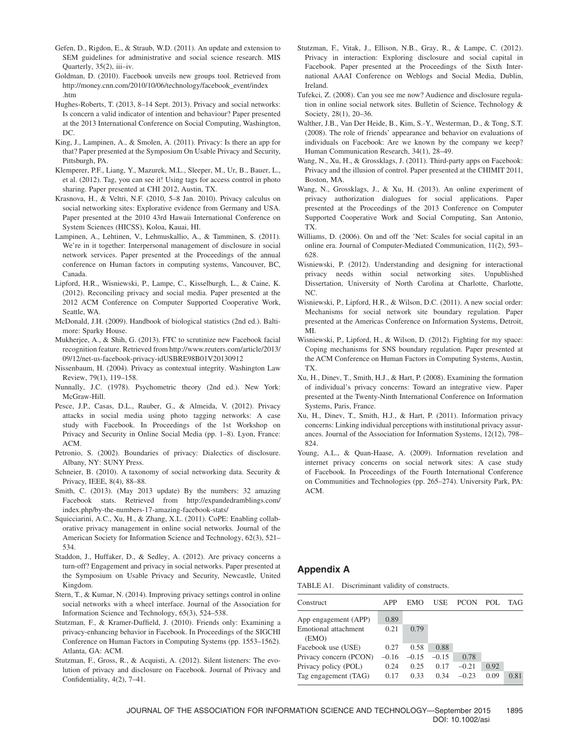- Gefen, D., Rigdon, E., & Straub, W.D. (2011). An update and extension to SEM guidelines for administrative and social science research. MIS Quarterly, 35(2), iii–iv.
- Goldman, D. (2010). Facebook unveils new groups tool. Retrieved from [http://money.cnn.com/2010/10/06/technology/facebook\\_event/index](http://money.cnn.com/2010/10/06/technology/facebook_event/index.htm) [.htm](http://money.cnn.com/2010/10/06/technology/facebook_event/index.htm)
- Hughes-Roberts, T. (2013, 8–14 Sept. 2013). Privacy and social networks: Is concern a valid indicator of intention and behaviour? Paper presented at the 2013 International Conference on Social Computing, Washington, DC.
- King, J., Lampinen, A., & Smolen, A. (2011). Privacy: Is there an app for that? Paper presented at the Symposium On Usable Privacy and Security, Pittsburgh, PA.
- Klemperer, P.F., Liang, Y., Mazurek, M.L., Sleeper, M., Ur, B., Bauer, L., et al. (2012). Tag, you can see it! Using tags for access control in photo sharing. Paper presented at CHI 2012, Austin, TX.
- Krasnova, H., & Veltri, N.F. (2010, 5–8 Jan. 2010). Privacy calculus on social networking sites: Explorative evidence from Germany and USA. Paper presented at the 2010 43rd Hawaii International Conference on System Sciences (HICSS), Koloa, Kauai, HI.
- Lampinen, A., Lehtinen, V., Lehmuskallio, A., & Tamminen, S. (2011). We're in it together: Interpersonal management of disclosure in social network services. Paper presented at the Proceedings of the annual conference on Human factors in computing systems, Vancouver, BC, Canada.
- Lipford, H.R., Wisniewski, P., Lampe, C., Kisselburgh, L., & Caine, K. (2012). Reconciling privacy and social media. Paper presented at the 2012 ACM Conference on Computer Supported Cooperative Work, Seattle, WA.
- McDonald, J.H. (2009). Handbook of biological statistics (2nd ed.). Baltimore: Sparky House.
- Mukherjee, A., & Shih, G. (2013). FTC to scrutinize new Facebook facial recognition feature. Retrieved from [http://www.reuters.com/article/2013/](http://www.reuters.com/article/2013/09/12/net-us-facebook-privacy-idUSBRE98B01V20130912) [09/12/net-us-facebook-privacy-idUSBRE98B01V20130912](http://www.reuters.com/article/2013/09/12/net-us-facebook-privacy-idUSBRE98B01V20130912)
- Nissenbaum, H. (2004). Privacy as contextual integrity. Washington Law Review, 79(1), 119–158.
- Nunnally, J.C. (1978). Psychometric theory (2nd ed.). New York: McGraw-Hill.
- Pesce, J.P., Casas, D.L., Rauber, G., & Almeida, V. (2012). Privacy attacks in social media using photo tagging networks: A case study with Facebook. In Proceedings of the 1st Workshop on Privacy and Security in Online Social Media (pp. 1–8). Lyon, France: ACM.
- Petronio, S. (2002). Boundaries of privacy: Dialectics of disclosure. Albany, NY: SUNY Press.
- Schneier, B. (2010). A taxonomy of social networking data. Security & Privacy, IEEE, 8(4), 88–88.
- Smith, C. (2013). (May 2013 update) By the numbers: 32 amazing Facebook stats. Retrieved from [http://expandedramblings.com/](http://expandedramblings.com/index.php/by-the-numbers-17-amazing-facebook-stats/) [index.php/by-the-numbers-17-amazing-facebook-stats/](http://expandedramblings.com/index.php/by-the-numbers-17-amazing-facebook-stats/)
- Squicciarini, A.C., Xu, H., & Zhang, X.L. (2011). CoPE: Enabling collaborative privacy management in online social networks. Journal of the American Society for Information Science and Technology, 62(3), 521– 534.
- Staddon, J., Huffaker, D., & Sedley, A. (2012). Are privacy concerns a turn-off? Engagement and privacy in social networks. Paper presented at the Symposium on Usable Privacy and Security, Newcastle, United Kingdom.
- Stern, T., & Kumar, N. (2014). Improving privacy settings control in online social networks with a wheel interface. Journal of the Association for Information Science and Technology, 65(3), 524–538.
- Stutzman, F., & Kramer-Duffield, J. (2010). Friends only: Examining a privacy-enhancing behavior in Facebook. In Proceedings of the SIGCHI Conference on Human Factors in Computing Systems (pp. 1553–1562). Atlanta, GA: ACM.
- Stutzman, F., Gross, R., & Acquisti, A. (2012). Silent listeners: The evolution of privacy and disclosure on Facebook. Journal of Privacy and Confidentiality, 4(2), 7–41.
- Stutzman, F., Vitak, J., Ellison, N.B., Gray, R., & Lampe, C. (2012). Privacy in interaction: Exploring disclosure and social capital in Facebook. Paper presented at the Proceedings of the Sixth International AAAI Conference on Weblogs and Social Media, Dublin, Ireland.
- Tufekci, Z. (2008). Can you see me now? Audience and disclosure regulation in online social network sites. Bulletin of Science, Technology & Society, 28(1), 20–36.
- Walther, J.B., Van Der Heide, B., Kim, S.-Y., Westerman, D., & Tong, S.T. (2008). The role of friends' appearance and behavior on evaluations of individuals on Facebook: Are we known by the company we keep? Human Communication Research, 34(1), 28–49.
- Wang, N., Xu, H., & Grossklags, J. (2011). Third-party apps on Facebook: Privacy and the illusion of control. Paper presented at the CHIMIT 2011, Boston, MA.
- Wang, N., Grossklags, J., & Xu, H. (2013). An online experiment of privacy authorization dialogues for social applications. Paper presented at the Proceedings of the 2013 Conference on Computer Supported Cooperative Work and Social Computing, San Antonio, TX.
- Williams, D. (2006). On and off the 'Net: Scales for social capital in an online era. Journal of Computer-Mediated Communication, 11(2), 593– 628.
- Wisniewski, P. (2012). Understanding and designing for interactional privacy needs within social networking sites. Unpublished Dissertation, University of North Carolina at Charlotte, Charlotte, NC.
- Wisniewski, P., Lipford, H.R., & Wilson, D.C. (2011). A new social order: Mechanisms for social network site boundary regulation. Paper presented at the Americas Conference on Information Systems, Detroit, MI.
- Wisniewski, P., Lipford, H., & Wilson, D. (2012). Fighting for my space: Coping mechanisms for SNS boundary regulation. Paper presented at the ACM Conference on Human Factors in Computing Systems, Austin, TX.
- Xu, H., Dinev, T., Smith, H.J., & Hart, P. (2008). Examining the formation of individual's privacy concerns: Toward an integrative view. Paper presented at the Twenty-Ninth International Conference on Information Systems, Paris, France.
- Xu, H., Dinev, T., Smith, H.J., & Hart, P. (2011). Information privacy concerns: Linking individual perceptions with institutional privacy assurances. Journal of the Association for Information Systems, 12(12), 798– 824.
- Young, A.L., & Quan-Haase, A. (2009). Information revelation and internet privacy concerns on social network sites: A case study of Facebook. In Proceedings of the Fourth International Conference on Communities and Technologies (pp. 265–274). University Park, PA: ACM.

# **Appendix A**

TABLE A1. Discriminant validity of constructs.

| Construct                     | <b>APP</b> | EMO     | USE     | <b>PCON</b> | POL. | <b>TAG</b> |
|-------------------------------|------------|---------|---------|-------------|------|------------|
| App engagement (APP)          | 0.89       |         |         |             |      |            |
| Emotional attachment<br>(EMO) | 0.21       | 0.79    |         |             |      |            |
| Facebook use (USE)            | 0.27       | 0.58    | 0.88    |             |      |            |
| Privacy concern (PCON)        | $-0.16$    | $-0.15$ | $-0.15$ | 0.78        |      |            |
| Privacy policy (POL)          | 0.24       | 0.25    | 0.17    | $-0.21$     | 0.92 |            |
| Tag engagement (TAG)          | 0.17       | 0.33    | 0.34    | $-0.23$     | 0.09 | 0.81       |